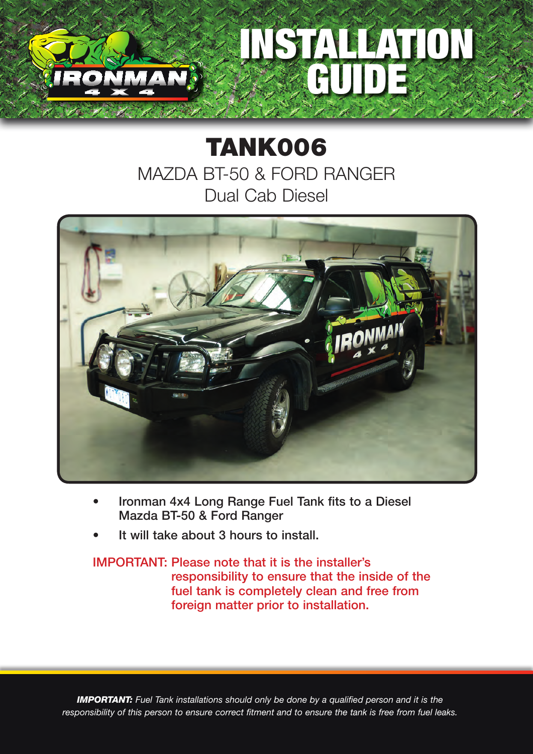

## TANK006 MAZDA BT-50 & FORD RANGER Dual Cab Diesel



- Ironman 4x4 Long Range Fuel Tank fits to a Diesel Mazda BT-50 & Ford Ranger
- It will take about 3 hours to install.

## IMPORTANT: Please note that it is the installer's responsibility to ensure that the inside of the fuel tank is completely clean and free from foreign matter prior to installation.

*IMPORTANT: Fuel Tank installations should only be done by a qualified person and it is the responsibility of this person to ensure correct fitment and to ensure the tank is free from fuel leaks.*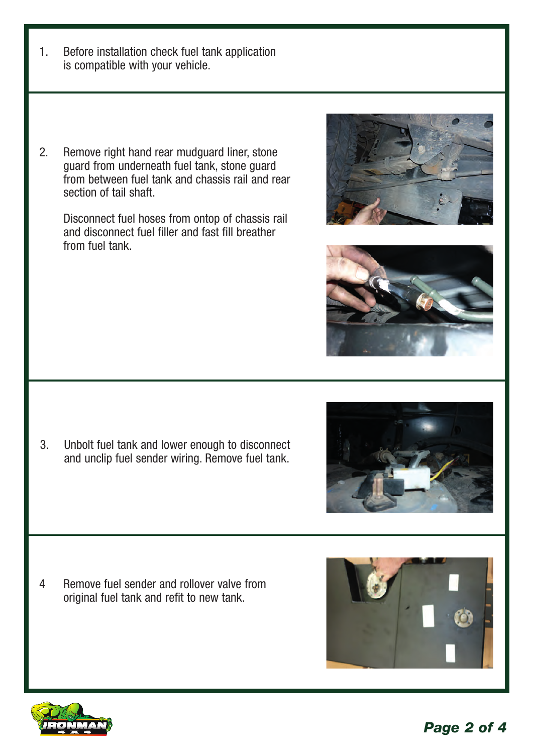- 1. Before installation check fuel tank application is compatible with your vehicle.
- 2. Remove right hand rear mudguard liner, stone guard from underneath fuel tank, stone guard from between fuel tank and chassis rail and rear section of tail shaft

Disconnect fuel hoses from ontop of chassis rail and disconnect fuel filler and fast fill breather from fuel tank.





- 
- 

3. Unbolt fuel tank and lower enough to disconnect and unclip fuel sender wiring. Remove fuel tank.

4 Remove fuel sender and rollover valve from original fuel tank and refit to new tank.



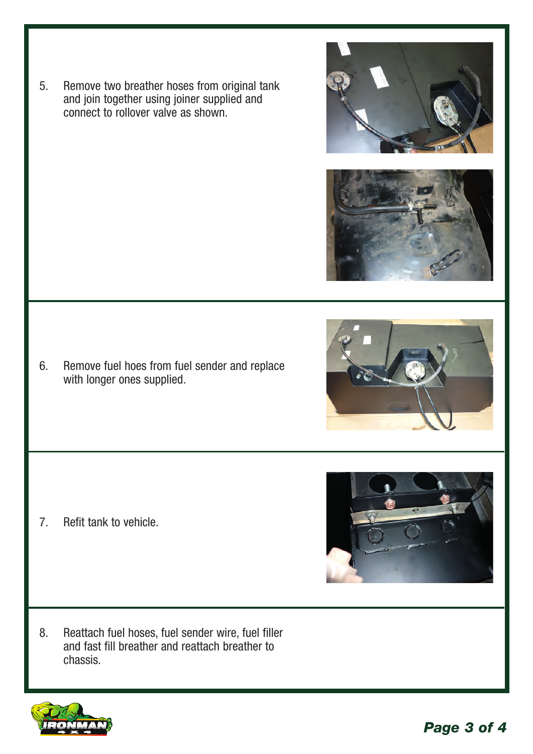5. Remove two breather hoses from original tank and join together using joiner supplied and connect to rollover valve as shown.

6. Remove fuel hoes from fuel sender and replace with longer ones supplied.

7. Refit tank to vehicle.

8. Reattach fuel hoses, fuel sender wire, fuel filler and fast fill breather and reattach breather to chassis.